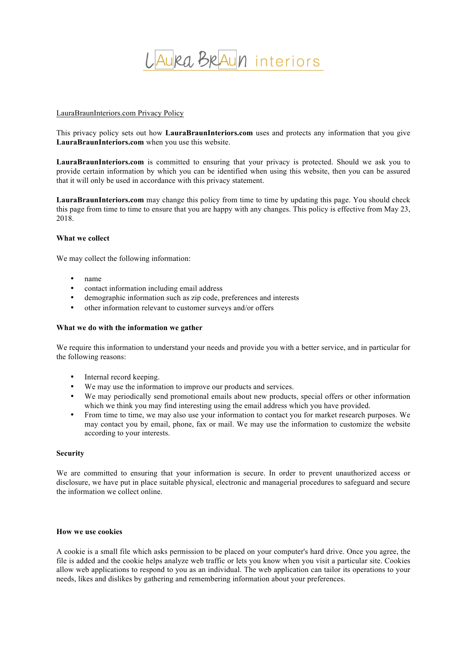

## LauraBraunInteriors.com Privacy Policy

This privacy policy sets out how **LauraBraunInteriors.com** uses and protects any information that you give **LauraBraunInteriors.com** when you use this website.

**LauraBraunInteriors.com** is committed to ensuring that your privacy is protected. Should we ask you to provide certain information by which you can be identified when using this website, then you can be assured that it will only be used in accordance with this privacy statement.

**LauraBraunInteriors.com** may change this policy from time to time by updating this page. You should check this page from time to time to ensure that you are happy with any changes. This policy is effective from May 23, 2018.

## **What we collect**

We may collect the following information:

- name
- contact information including email address
- demographic information such as zip code, preferences and interests
- other information relevant to customer surveys and/or offers

### **What we do with the information we gather**

We require this information to understand your needs and provide you with a better service, and in particular for the following reasons:

- Internal record keeping.
- We may use the information to improve our products and services.
- We may periodically send promotional emails about new products, special offers or other information which we think you may find interesting using the email address which you have provided.
- From time to time, we may also use your information to contact you for market research purposes. We may contact you by email, phone, fax or mail. We may use the information to customize the website according to your interests.

### **Security**

We are committed to ensuring that your information is secure. In order to prevent unauthorized access or disclosure, we have put in place suitable physical, electronic and managerial procedures to safeguard and secure the information we collect online.

# **How we use cookies**

A cookie is a small file which asks permission to be placed on your computer's hard drive. Once you agree, the file is added and the cookie helps analyze web traffic or lets you know when you visit a particular site. Cookies allow web applications to respond to you as an individual. The web application can tailor its operations to your needs, likes and dislikes by gathering and remembering information about your preferences.